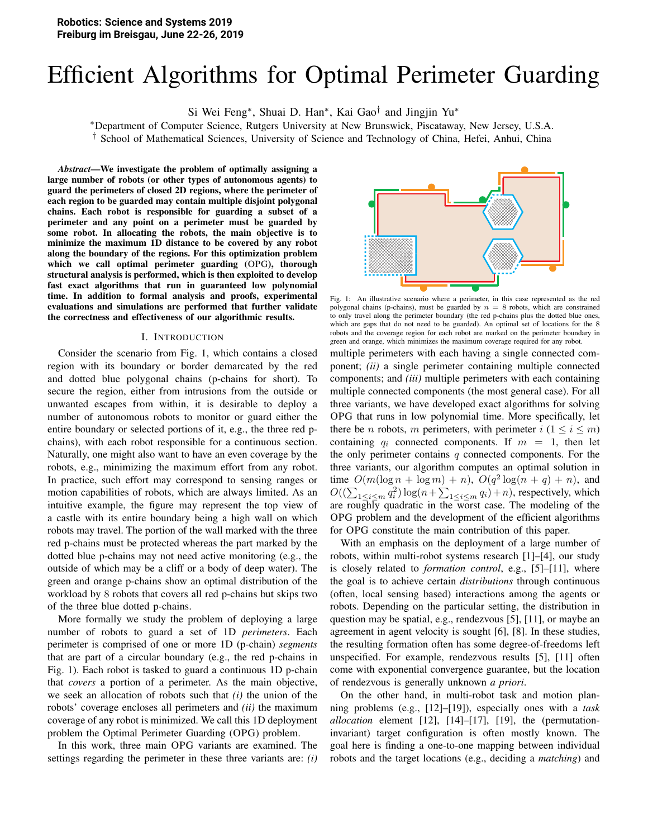# Efficient Algorithms for Optimal Perimeter Guarding

Si Wei Feng<sup>∗</sup>, Shuai D. Han<sup>∗</sup>, Kai Gao<sup>†</sup> and Jingjin Yu<sup>∗</sup>

<sup>∗</sup>Department of Computer Science, Rutgers University at New Brunswick, Piscataway, New Jersey, U.S.A. † School of Mathematical Sciences, University of Science and Technology of China, Hefei, Anhui, China

*Abstract*—We investigate the problem of optimally assigning a large number of robots (or other types of autonomous agents) to guard the perimeters of closed 2D regions, where the perimeter of each region to be guarded may contain multiple disjoint polygonal chains. Each robot is responsible for guarding a subset of a perimeter and any point on a perimeter must be guarded by some robot. In allocating the robots, the main objective is to minimize the maximum 1D distance to be covered by any robot along the boundary of the regions. For this optimization problem which we call optimal perimeter guarding (OPG), thorough structural analysis is performed, which is then exploited to develop fast exact algorithms that run in guaranteed low polynomial time. In addition to formal analysis and proofs, experimental evaluations and simulations are performed that further validate the correctness and effectiveness of our algorithmic results.

#### I. INTRODUCTION

Consider the scenario from Fig. 1, which contains a closed region with its boundary or border demarcated by the red and dotted blue polygonal chains (p-chains for short). To secure the region, either from intrusions from the outside or unwanted escapes from within, it is desirable to deploy a number of autonomous robots to monitor or guard either the entire boundary or selected portions of it, e.g., the three red pchains), with each robot responsible for a continuous section. Naturally, one might also want to have an even coverage by the robots, e.g., minimizing the maximum effort from any robot. In practice, such effort may correspond to sensing ranges or motion capabilities of robots, which are always limited. As an intuitive example, the figure may represent the top view of a castle with its entire boundary being a high wall on which robots may travel. The portion of the wall marked with the three red p-chains must be protected whereas the part marked by the dotted blue p-chains may not need active monitoring (e.g., the outside of which may be a cliff or a body of deep water). The green and orange p-chains show an optimal distribution of the workload by 8 robots that covers all red p-chains but skips two of the three blue dotted p-chains.

More formally we study the problem of deploying a large number of robots to guard a set of 1D *perimeters*. Each perimeter is comprised of one or more 1D (p-chain) *segments* that are part of a circular boundary (e.g., the red p-chains in Fig. 1). Each robot is tasked to guard a continuous 1D p-chain that *covers* a portion of a perimeter. As the main objective, we seek an allocation of robots such that *(i)* the union of the robots' coverage encloses all perimeters and *(ii)* the maximum coverage of any robot is minimized. We call this 1D deployment problem the Optimal Perimeter Guarding (OPG) problem.

In this work, three main OPG variants are examined. The settings regarding the perimeter in these three variants are: *(i)*



Fig. 1: An illustrative scenario where a perimeter, in this case represented as the red polygonal chains (p-chains), must be guarded by  $n = 8$  robots, which are constrained to only travel along the perimeter boundary (the red p-chains plus the dotted blue ones, which are gaps that do not need to be guarded). An optimal set of locations for the 8 robots and the coverage region for each robot are marked on the perimeter boundary in green and orange, which minimizes the maximum coverage required for any robot.

multiple perimeters with each having a single connected component; *(ii)* a single perimeter containing multiple connected components; and *(iii)* multiple perimeters with each containing multiple connected components (the most general case). For all three variants, we have developed exact algorithms for solving OPG that runs in low polynomial time. More specifically, let there be *n* robots, *m* perimeters, with perimeter  $i$  ( $1 \le i \le m$ ) containing  $q_i$  connected components. If  $m = 1$ , then let the only perimeter contains  $q$  connected components. For the three variants, our algorithm computes an optimal solution in time  $O(m(\log n + \log m) + n)$ ,  $O(q^2 \log(n + q) + n)$ , and  $O((\sum_{1 \le i \le m} q_i^2) \log(n + \sum_{1 \le i \le m} q_i) + n)$ , respectively, which are roughly quadratic in the worst case. The modeling of the OPG problem and the development of the efficient algorithms for OPG constitute the main contribution of this paper.

With an emphasis on the deployment of a large number of robots, within multi-robot systems research [1]–[4], our study is closely related to *formation control*, e.g., [5]–[11], where the goal is to achieve certain *distributions* through continuous (often, local sensing based) interactions among the agents or robots. Depending on the particular setting, the distribution in question may be spatial, e.g., rendezvous [5], [11], or maybe an agreement in agent velocity is sought [6], [8]. In these studies, the resulting formation often has some degree-of-freedoms left unspecified. For example, rendezvous results [5], [11] often come with exponential convergence guarantee, but the location of rendezvous is generally unknown *a priori*.

On the other hand, in multi-robot task and motion planning problems (e.g., [12]–[19]), especially ones with a *task allocation* element [12], [14]–[17], [19], the (permutationinvariant) target configuration is often mostly known. The goal here is finding a one-to-one mapping between individual robots and the target locations (e.g., deciding a *matching*) and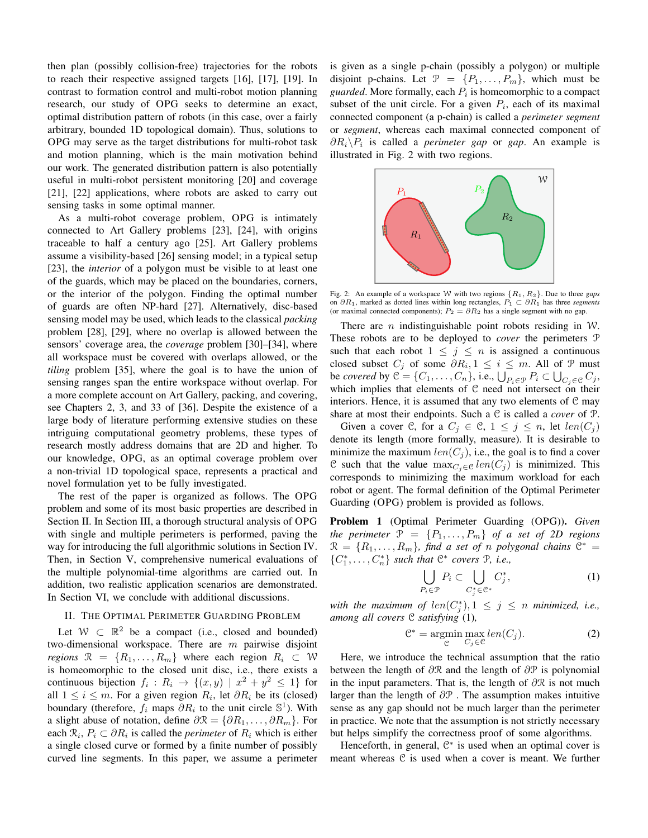then plan (possibly collision-free) trajectories for the robots to reach their respective assigned targets [16], [17], [19]. In contrast to formation control and multi-robot motion planning research, our study of OPG seeks to determine an exact, optimal distribution pattern of robots (in this case, over a fairly arbitrary, bounded 1D topological domain). Thus, solutions to OPG may serve as the target distributions for multi-robot task and motion planning, which is the main motivation behind our work. The generated distribution pattern is also potentially useful in multi-robot persistent monitoring [20] and coverage [21], [22] applications, where robots are asked to carry out sensing tasks in some optimal manner.

As a multi-robot coverage problem, OPG is intimately connected to Art Gallery problems [23], [24], with origins traceable to half a century ago [25]. Art Gallery problems assume a visibility-based [26] sensing model; in a typical setup [23], the *interior* of a polygon must be visible to at least one of the guards, which may be placed on the boundaries, corners, or the interior of the polygon. Finding the optimal number of guards are often NP-hard [27]. Alternatively, disc-based sensing model may be used, which leads to the classical packing problem [28], [29], where no overlap is allowed between the sensors' coverage area, the *coverage* problem [30]–[34], where all workspace must be covered with overlaps allowed, or the *tiling* problem [35], where the goal is to have the union of sensing ranges span the entire workspace without overlap. For a more complete account on Art Gallery, packing, and covering, see Chapters 2, 3, and 33 of [36]. Despite the existence of a large body of literature performing extensive studies on these intriguing computational geometry problems, these types of research mostly address domains that are 2D and higher. To our knowledge, OPG, as an optimal coverage problem over a non-trivial 1D topological space, represents a practical and novel formulation yet to be fully investigated.

The rest of the paper is organized as follows. The OPG problem and some of its most basic properties are described in Section II. In Section III, a thorough structural analysis of OPG with single and multiple perimeters is performed, paving the way for introducing the full algorithmic solutions in Section IV. Then, in Section V, comprehensive numerical evaluations of the multiple polynomial-time algorithms are carried out. In addition, two realistic application scenarios are demonstrated. In Section VI, we conclude with additional discussions.

#### II. THE OPTIMAL PERIMETER GUARDING PROBLEM

Let  $W \subset \mathbb{R}^2$  be a compact (i.e., closed and bounded) two-dimensional workspace. There are  $m$  pairwise disjoint regions  $\mathcal{R} = \{R_1, \ldots, R_m\}$  where each region  $R_i \subset \mathcal{W}$ is homeomorphic to the closed unit disc, i.e., there exists a continuous bijection  $f_i: R_i \to \{(x, y) | x^2 + y^2 \leq 1\}$  for all  $1 \leq i \leq m$ . For a given region  $R_i$ , let  $\partial R_i$  be its (closed) boundary (therefore,  $f_i$  maps  $\partial R_i$  to the unit circle  $\mathbb{S}^1$ ). With a slight abuse of notation, define  $\partial \mathcal{R} = {\partial R_1, \dots, \partial R_m}$ . For each  $\mathcal{R}_i$ ,  $P_i \subset \partial R_i$  is called the *perimeter* of  $R_i$  which is either a single closed curve or formed by a finite number of possibly curved line segments. In this paper, we assume a perimeter is given as a single p-chain (possibly a polygon) or multiple disjoint p-chains. Let  $\mathcal{P} = \{P_1, \ldots, P_m\}$ , which must be guarded. More formally, each  $P_i$  is homeomorphic to a compact subset of the unit circle. For a given  $P_i$ , each of its maximal connected component (a p-chain) is called a *perimeter segment* or *segment*, whereas each maximal connected component of  $\partial R_i \backslash P_i$  is called a *perimeter gap* or *gap*. An example is illustrated in Fig. 2 with two regions.



Fig. 2: An example of a workspace W with two regions  $\{R_1, R_2\}$ . Due to three *gaps* on  $\partial R_1$ , marked as dotted lines within long rectangles,  $P_1 \subset \partial R_1$  has three *segments* (or maximal connected components);  $P_2 = \partial R_2$  has a single segment with no gap.

There are *n* indistinguishable point robots residing in  $W$ . These robots are to be deployed to *cover* the perimeters P such that each robot  $1 \leq j \leq n$  is assigned a continuous closed subset  $C_j$  of some  $\partial R_i$ ,  $1 \leq i \leq m$ . All of  $\mathcal P$  must be covered by  $\mathcal{C} = \{C_1, \ldots, C_n\}$ , i.e.,  $\bigcup_{P_i \in \mathcal{P}} P_i \subset \bigcup_{C_i \in \mathcal{C}} C_j$ , which implies that elements of C need not intersect on their interiors. Hence, it is assumed that any two elements of  $\mathcal C$  may share at most their endpoints. Such a  $C$  is called a *cover* of  $P$ .

Given a cover C, for a  $C_j \in \mathcal{C}$ ,  $1 \leq j \leq n$ , let  $len(C_j)$ denote its length (more formally, measure). It is desirable to minimize the maximum  $len(C_i)$ , i.e., the goal is to find a cover C such that the value  $\max_{C_i \in \mathcal{C}} len(C_i)$  is minimized. This corresponds to minimizing the maximum workload for each robot or agent. The formal definition of the Optimal Perimeter Guarding (OPG) problem is provided as follows.

Problem 1 (Optimal Perimeter Guarding (OPG)). Given the perimeter  $\mathcal{P} = \{P_1, \ldots, P_m\}$  of a set of 2D regions  $\mathcal{R} = \{R_1, \ldots, R_m\}$ , find a set of n polygonal chains  $\mathcal{C}^* =$  $\{C_1^*, \ldots, C_n^*\}$  such that  $\mathbb{C}^*$  covers  $\mathbb{P}$ , i.e.,

$$
\bigcup_{P_i \in \mathcal{P}} P_i \subset \bigcup_{C_i^* \in \mathcal{C}^*} C_j^*,\tag{1}
$$

with the maximum of  $len(C_i^*)$ ,  $1 \leq j \leq n$  minimized, i.e., among all covers  $C$  satisfying  $(1)$ ,

$$
\mathcal{C}^* = \underset{\mathcal{C}}{\operatorname{argmin}} \underset{C_j \in \mathcal{C}}{\operatorname{max}} len(C_j). \tag{2}
$$

Here, we introduce the technical assumption that the ratio between the length of  $\partial \mathcal{R}$  and the length of  $\partial \mathcal{P}$  is polynomial in the input parameters. That is, the length of  $\partial \mathcal{R}$  is not much larger than the length of  $\partial P$ . The assumption makes intuitive sense as any gap should not be much larger than the perimeter in practice. We note that the assumption is not strictly necessary but helps simplify the correctness proof of some algorithms.

Henceforth, in general,  $\mathbb{C}^*$  is used when an optimal cover is meant whereas C is used when a cover is meant. We further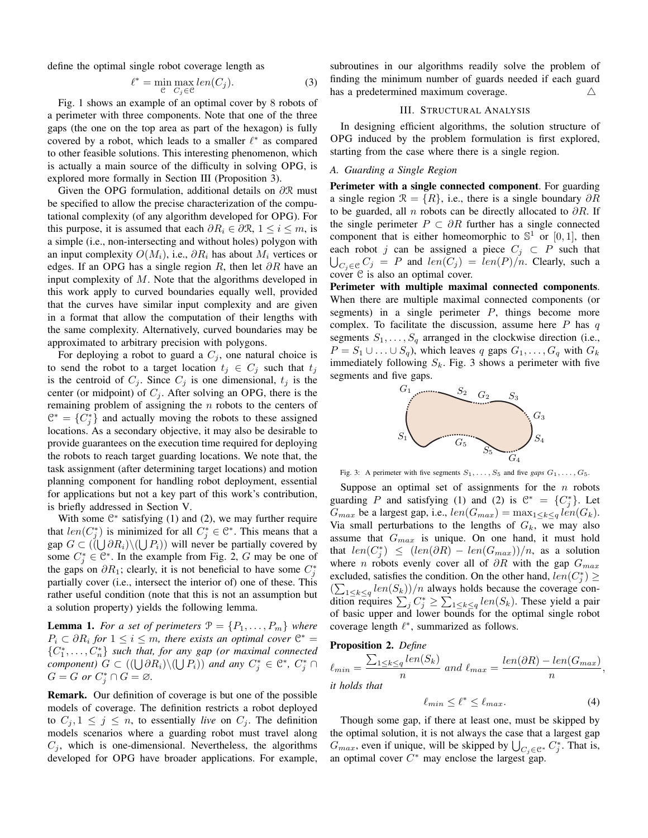define the optimal single robot coverage length as

$$
= \min_{\mathcal{C}} \max_{C_j \in \mathcal{C}} len(C_j). \tag{3}
$$

Fig. 1 shows an example of an optimal cover by 8 robots of a perimeter with three components. Note that one of the three gaps (the one on the top area as part of the hexagon) is fully covered by a robot, which leads to a smaller  $\ell^*$  as compared to other feasible solutions. This interesting phenomenon, which is actually a main source of the difficulty in solving OPG, is explored more formally in Section III (Proposition 3).

Given the OPG formulation, additional details on  $\partial \mathcal{R}$  must be specified to allow the precise characterization of the computational complexity (of any algorithm developed for OPG). For this purpose, it is assumed that each  $\partial R_i \in \partial \mathcal{R}, 1 \le i \le m$ , is a simple (i.e., non-intersecting and without holes) polygon with an input complexity  $O(M_i)$ , i.e.,  $\partial R_i$  has about  $M_i$  vertices or edges. If an OPG has a single region R, then let  $\partial R$  have an input complexity of  $M$ . Note that the algorithms developed in this work apply to curved boundaries equally well, provided that the curves have similar input complexity and are given in a format that allow the computation of their lengths with the same complexity. Alternatively, curved boundaries may be approximated to arbitrary precision with polygons.

For deploying a robot to guard a  $C_i$ , one natural choice is to send the robot to a target location  $t_j \in C_j$  such that  $t_j$ is the centroid of  $C_j$ . Since  $C_j$  is one dimensional,  $t_j$  is the center (or midpoint) of  $C_i$ . After solving an OPG, there is the remaining problem of assigning the  $n$  robots to the centers of  $\mathcal{C}^* = \{C_j^*\}$  and actually moving the robots to these assigned locations. As a secondary objective, it may also be desirable to provide guarantees on the execution time required for deploying the robots to reach target guarding locations. We note that, the task assignment (after determining target locations) and motion planning component for handling robot deployment, essential for applications but not a key part of this work's contribution, is briefly addressed in Section V.

With some  $\mathbb{C}^*$  satisfying (1) and (2), we may further require that  $len(C_i^*)$  is minimized for all  $C_i^* \in \mathbb{C}^*$ . This means that a gap  $G \subset ((\bigcup \partial R_i) \setminus (\bigcup P_i))$  will never be partially covered by some  $C_i^* \in \mathbb{C}^*$ . In the example from Fig. 2, G may be one of the gaps on  $\partial R_1$ ; clearly, it is not beneficial to have some  $C_i^*$ partially cover (i.e., intersect the interior of) one of these. This rather useful condition (note that this is not an assumption but a solution property) yields the following lemma.

**Lemma 1.** For a set of perimeters  $\mathcal{P} = \{P_1, \ldots, P_m\}$  where  $P_i \subset \partial R_i$  for  $1 \leq i \leq m$ , there exists an optimal cover  $\mathbb{C}^* =$  $\{C_1^*, \ldots, C_n^*\}$  such that, for any gap (or maximal connected *component*)  $G \subset ((\bigcup \partial R_i) \setminus (\bigcup P_i))$  *and any*  $C_i^* \in \mathcal{C}^*, C_i^* \cap$  $G = G$  or  $C_i^* \cap G = \emptyset$ .

**Remark.** Our definition of coverage is but one of the possible models of coverage. The definition restricts a robot deployed to  $C_j$ ,  $1 \leq j \leq n$ , to essentially *live* on  $C_j$ . The definition models scenarios where a guarding robot must travel along  $C_i$ , which is one-dimensional. Nevertheless, the algorithms developed for OPG have broader applications. For example,

subroutines in our algorithms readily solve the problem of finding the minimum number of guards needed if each guard has a predetermined maximum coverage.  $\wedge$ 

## **III. STRUCTURAL ANALYSIS**

In designing efficient algorithms, the solution structure of OPG induced by the problem formulation is first explored, starting from the case where there is a single region.

# A. Guarding a Single Region

Perimeter with a single connected component. For guarding a single region  $\mathcal{R} = \{R\}$ , i.e., there is a single boundary  $\partial R$ to be guarded, all n robots can be directly allocated to  $\partial R$ . If the single perimeter  $P \subset \partial R$  further has a single connected component that is either homeomorphic to  $\mathbb{S}^1$  or  $[0,1]$ , then each robot j can be assigned a piece  $C_j \subset P$  such that  $\bigcup_{C_i \in \mathcal{C}} C_j$  = P and  $len(C_j)$  =  $len(P)/n$ . Clearly, such a cover C is also an optimal cover.

Perimeter with multiple maximal connected components. When there are multiple maximal connected components (or segments) in a single perimeter  $P$ , things become more complex. To facilitate the discussion, assume here  $P$  has  $q$ segments  $S_1, \ldots, S_q$  arranged in the clockwise direction (i.e.,  $P = S_1 \cup \ldots \cup S_q$ , which leaves q gaps  $G_1, \ldots, G_q$  with  $G_k$ immediately following  $S_k$ . Fig. 3 shows a perimeter with five segments and five gaps.



Fig. 3: A perimeter with five segments  $S_1, \ldots, S_5$  and five gaps  $G_1, \ldots, G_5$ .

Suppose an optimal set of assignments for the  $n$  robots guarding P and satisfying (1) and (2) is  $\mathbb{C}^* = \{C_i^*\}$ . Let  $G_{max}$  be a largest gap, i.e.,  $len(G_{max}) = max_{1 \leq k \leq q} len(G_k)$ . Via small perturbations to the lengths of  $G_k$ , we may also assume that  $G_{max}$  is unique. On one hand, it must hold that  $len(C_i^*) \leq (len(\partial R) - len(G_{max}))/n$ , as a solution where *n* robots evenly cover all of  $\partial R$  with the gap  $G_{max}$ excluded, satisfies the condition. On the other hand,  $len(C_i^*) \ge$  $(\sum_{1 \leq k \leq q} len(S_k))/n$  always holds because the coverage condition requires  $\sum_j C_j^* \ge \sum_{1 \le k \le q} len(S_k)$ . These yield a pair of basic upper and lower bounds for the optimal single robot coverage length  $\ell^*$ , summarized as follows.

# Proposition 2. Define

$$
\ell_{min} = \frac{\sum_{1 \le k \le q} len(S_k)}{n} \text{ and } \ell_{max} = \frac{len(\partial R) - len(G_{max})}{n}
$$
  
it holds that

$$
\ell_{min} \le \ell^* \le \ell_{max}.\tag{4}
$$

Though some gap, if there at least one, must be skipped by the optimal solution, it is not always the case that a largest gap  $G_{max}$ , even if unique, will be skipped by  $\bigcup_{C_i \in \mathcal{C}^*} C_i^*$ . That is, an optimal cover  $C^*$  may enclose the largest gap.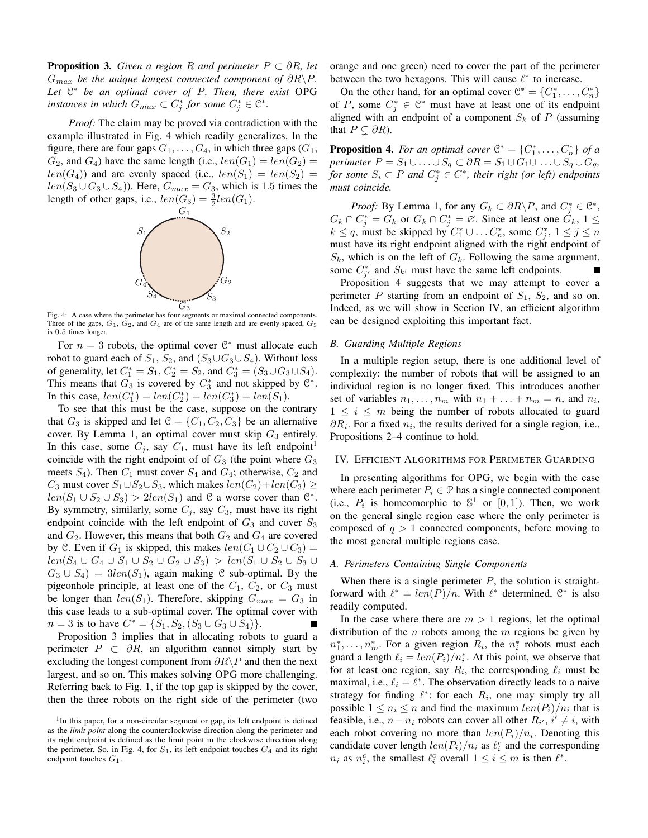**Proposition 3.** Given a region R and perimeter  $P \subset \partial R$ , let  $G_{max}$  be the unique longest connected component of  $\partial R \backslash P$ . Let  $\mathbb{C}^*$  be an optimal cover of P. Then, there exist OPG instances in which  $G_{max} \subset C_j^*$  for some  $C_j^* \in \mathbb{C}^*$ .

Proof: The claim may be proved via contradiction with the example illustrated in Fig. 4 which readily generalizes. In the figure, there are four gaps  $G_1, \ldots, G_4$ , in which three gaps  $(G_1,$  $G_2$ , and  $G_4$ ) have the same length (i.e.,  $len(G_1) = len(G_2)$ )  $len(G_4)$ ) and are evenly spaced (i.e.,  $len(S_1) = len(S_2)$ )  $len(S_3 \cup G_3 \cup S_4)$ . Here,  $G_{max} = G_3$ , which is 1.5 times the length of other gaps, i.e.,  $len(G_3) = \frac{3}{2}len(G_1)$ .



Fig. 4: A case where the perimeter has four segments or maximal connected components. Three of the gaps,  $G_1$ ,  $G_2$ , and  $G_4$  are of the same length and are evenly spaced,  $G_3$ is 0.5 times longer.

For  $n = 3$  robots, the optimal cover  $\mathcal{C}^*$  must allocate each robot to guard each of  $S_1$ ,  $S_2$ , and  $(S_3 \cup G_3 \cup S_4)$ . Without loss of generality, let  $C_1^* = S_1$ ,  $C_2^* = S_2$ , and  $C_3^* = (S_3 \cup G_3 \cup S_4)$ . This means that  $G_3$  is covered by  $C_3^*$  and not skipped by  $\mathbb{C}^*$ . In this case,  $len(C_1^*) = len(C_2^*) = len(C_3^*) = len(S_1)$ .

To see that this must be the case, suppose on the contrary that  $G_3$  is skipped and let  $C = \{C_1, C_2, C_3\}$  be an alternative cover. By Lemma 1, an optimal cover must skip  $G_3$  entirely. In this case, some  $C_j$ , say  $C_1$ , must have its left endpoint<sup>1</sup> coincide with the right endpoint of of  $G_3$  (the point where  $G_3$ meets  $S_4$ ). Then  $C_1$  must cover  $S_4$  and  $G_4$ ; otherwise,  $C_2$  and  $C_3$  must cover  $S_1 \cup S_2 \cup S_3$ , which makes  $len(C_2) + len(C_3) \ge$  $len(S_1 \cup S_2 \cup S_3) > 2len(S_1)$  and C a worse cover than  $\mathbb{C}^*$ . By symmetry, similarly, some  $C_j$ , say  $C_3$ , must have its right endpoint coincide with the left endpoint of  $G_3$  and cover  $S_3$ and  $G_2$ . However, this means that both  $G_2$  and  $G_4$  are covered by C. Even if  $G_1$  is skipped, this makes  $len(C_1 \cup C_2 \cup C_3)$  =  $len(S_4 \cup G_4 \cup S_1 \cup S_2 \cup G_2 \cup S_3) > len(S_1 \cup S_2 \cup S_3 \cup$  $G_3 \cup S_4$  =  $3len(S_1)$ , again making C sub-optimal. By the pigeonhole principle, at least one of the  $C_1$ ,  $C_2$ , or  $C_3$  must be longer than  $len(S_1)$ . Therefore, skipping  $G_{max} = G_3$  in this case leads to a sub-optimal cover. The optimal cover with  $n = 3$  is to have  $C^* = \{S_1, S_2, (S_3 \cup G_3 \cup S_4)\}.$ 

Proposition 3 implies that in allocating robots to guard a perimeter  $P \subset \partial R$ , an algorithm cannot simply start by excluding the longest component from  $\partial R \backslash P$  and then the next largest, and so on. This makes solving OPG more challenging. Referring back to Fig. 1, if the top gap is skipped by the cover, then the three robots on the right side of the perimeter (two orange and one green) need to cover the part of the perimeter between the two hexagons. This will cause  $\ell^*$  to increase.

On the other hand, for an optimal cover  $\mathcal{C}^* = \{C_1^*, \ldots, C_n^*\}$ of P, some  $C_j^* \in \mathbb{C}^*$  must have at least one of its endpoint aligned with an endpoint of a component  $S_k$  of P (assuming that  $P \subseteq \partial R$ ).

**Proposition 4.** For an optimal cover  $\mathbb{C}^* = \{C_1^*, \ldots, C_n^*\}$  of a perimeter  $P = S_1 \cup ... \cup S_q \subset \partial R = S_1 \cup G_1 \cup ... \cup S_q \cup G_q$ for some  $S_i \subset P$  and  $C_i^* \in C^*$ , their right (or left) endpoints must coincide.

*Proof:* By Lemma 1, for any  $G_k \subset \partial R \backslash P$ , and  $C_i^* \in \mathbb{C}^*$ ,  $G_k \cap C_j^* = G_k$  or  $G_k \cap C_j^* = \emptyset$ . Since at least one  $G_k$ ,  $1 \leq$  $k \leq q$ , must be skipped by  $C_1^* \cup \dots C_n^*$ , some  $C_i^*$ ,  $1 \leq j \leq n$ must have its right endpoint aligned with the right endpoint of  $S_k$ , which is on the left of  $G_k$ . Following the same argument, some  $C_{j'}^*$  and  $S_{k'}$  must have the same left endpoints.

Proposition 4 suggests that we may attempt to cover a perimeter P starting from an endpoint of  $S_1$ ,  $S_2$ , and so on. Indeed, as we will show in Section IV, an efficient algorithm can be designed exploiting this important fact.

# **B.** Guarding Multiple Regions

In a multiple region setup, there is one additional level of complexity: the number of robots that will be assigned to an individual region is no longer fixed. This introduces another set of variables  $n_1, \ldots, n_m$  with  $n_1 + \ldots + n_m = n$ , and  $n_i$ ,  $1 \leq i \leq m$  being the number of robots allocated to guard  $\partial R_i$ . For a fixed  $n_i$ , the results derived for a single region, i.e., Propositions 2–4 continue to hold.

#### IV. EFFICIENT ALGORITHMS FOR PERIMETER GUARDING

In presenting algorithms for OPG, we begin with the case where each perimeter  $P_i \in \mathcal{P}$  has a single connected component (i.e.,  $P_i$  is homeomorphic to  $\mathbb{S}^1$  or  $[0,1]$ ). Then, we work on the general single region case where the only perimeter is composed of  $q > 1$  connected components, before moving to the most general multiple regions case.

# A. Perimeters Containing Single Components

When there is a single perimeter  $P$ , the solution is straightforward with  $\ell^* = len(P)/n$ . With  $\ell^*$  determined,  $\mathbb{C}^*$  is also readily computed.

In the case where there are  $m > 1$  regions, let the optimal distribution of the  $n$  robots among the  $m$  regions be given by  $n_1^*, \ldots, n_m^*$ . For a given region  $R_i$ , the  $n_i^*$  robots must each guard a length  $\ell_i = \frac{len(P_i)}{n_i^*}$ . At this point, we observe that for at least one region, say  $R_i$ , the corresponding  $\ell_i$  must be maximal, i.e.,  $\ell_i = \ell^*$ . The observation directly leads to a naive strategy for finding  $\ell^*$ : for each  $R_i$ , one may simply try all possible  $1 \leq n_i \leq n$  and find the maximum  $len(P_i)/n_i$  that is feasible, i.e.,  $n - n_i$  robots can cover all other  $R_{i'}$ ,  $i' \neq i$ , with each robot covering no more than  $len(P_i)/n_i$ . Denoting this candidate cover length  $len(P_i)/n_i$  as  $\ell_i^c$  and the corresponding  $n_i$  as  $n_i^c$ , the smallest  $\ell_i^c$  overall  $1 \leq i \leq m$  is then  $\ell^*$ .

<sup>&</sup>lt;sup>1</sup>In this paper, for a non-circular segment or gap, its left endpoint is defined as the limit point along the counterclockwise direction along the perimeter and its right endpoint is defined as the limit point in the clockwise direction along the perimeter. So, in Fig. 4, for  $S_1$ , its left endpoint touches  $G_4$  and its right endpoint touches  $G_1$ .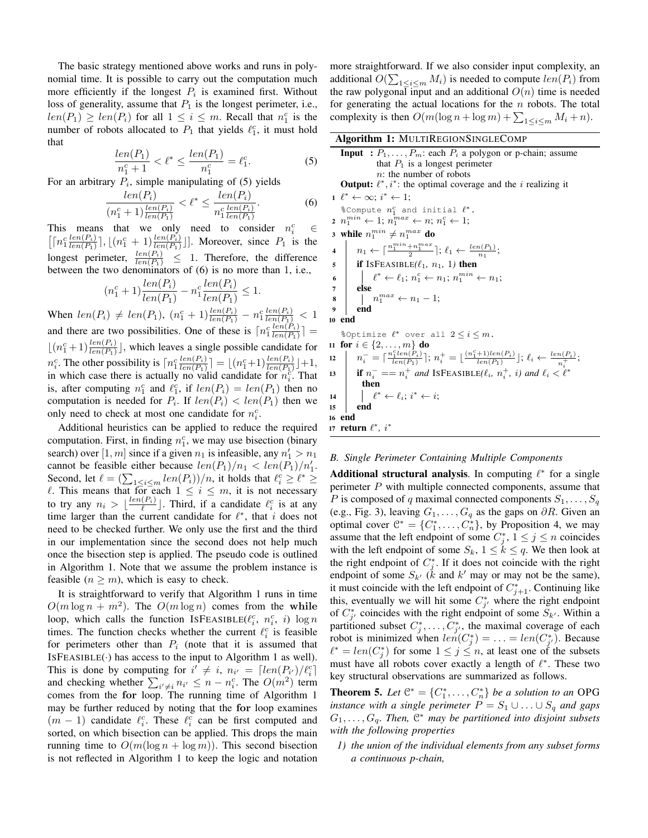The basic strategy mentioned above works and runs in polynomial time. It is possible to carry out the computation much more efficiently if the longest  $P_i$  is examined first. Without loss of generality, assume that  $P_1$  is the longest perimeter, i.e.,  $len(P_1) \geq len(P_i)$  for all  $1 \leq i \leq m$ . Recall that  $n_1^c$  is the number of robots allocated to  $P_1$  that yields  $\ell_1^c$ , it must hold that

$$
\frac{len(P_1)}{n_1^c + 1} < \ell^* \le \frac{len(P_1)}{n_1^c} = \ell_1^c. \tag{5}
$$

For an arbitrary  $P_i$ , simple manipulating of (5) yields

$$
\frac{len(P_i)}{(n_1^c + 1)\frac{len(P_i)}{len(P_i)}} < \ell^* \le \frac{len(P_i)}{n_1^c \frac{len(P_i)}{len(P_i)}}.\tag{6}
$$

This means that we only need to consider  $n_i^c$  $\in$  $\left[\left[n_1^c \frac{len(P_i)}{len(P_1)}\right], \left[\left(n_1^c + 1\right) \frac{len(P_i)}{len(P_1)}\right]\right]$ . Moreover, since  $P_1$  is the longest perimeter,  $\frac{len(P_i)}{len(P_1)} \leq 1$ . Therefore, the difference between the two denominators of  $(6)$  is no more than 1, i.e.,

$$
(n_1^c + 1) \frac{len(P_i)}{len(P_1)} - n_1^c \frac{len(P_i)}{len(P_1)} \le 1.
$$

When  $len(P_i) \neq len(P_1)$ ,  $(n_1^c + 1) \frac{len(P_i)}{len(P_1)} - n_1^c \frac{len(P_i)}{len(P_1)} < 1$ <br>and there are two possibilities. One of these is  $\lceil n_1^c \frac{len(P_i)}{len(P_1)} \rceil$  =  $\lfloor (n_1^c+1)\frac{len(P_i)}{len(P_1)} \rfloor$ , which leaves a single possible candidate for  $n_i^c$ . The other possibility is  $\lceil n_1^c \frac{\operatorname{len}(P_i)}{\operatorname{len}(P_1)} \rceil = \lfloor (n_1^c + 1) \frac{\operatorname{len}(P_i)}{\operatorname{len}(P_1)} \rfloor + 1$ , in which case there is actually no valid candidate for  $n_i^c$ . That is, after computing  $n_1^c$  and  $\ell_1^c$ , if  $len(P_i) = len(P_1)$  then no computation is needed for  $P_i$ . If  $len(P_i) < len(P_1)$  then we only need to check at most one candidate for  $n_i^c$ .

Additional heuristics can be applied to reduce the required computation. First, in finding  $n_1^c$ , we may use bisection (binary search) over [1, m] since if a given  $n_1$  is infeasible, any  $n'_1 > n_1$ cannot be feasible either because  $len(P_1)/n_1 < len(P_1)/n'_1$ . Second, let  $\ell = (\sum_{1 \le i \le m} len(P_i))/n$ , it holds that  $\ell_i^c \ge \ell^* \ge \ell$ . This means that for each  $1 \le i \le m$ , it is not necessary to try any  $n_i > \lfloor \frac{len(P_i)}{\ell} \rfloor$ . Third, if a candidate  $\ell_i^c$  is at any time larger than the current candidate for  $\ell^*$ , that i does not need to be checked further. We only use the first and the third in our implementation since the second does not help much once the bisection step is applied. The pseudo code is outlined in Algorithm 1. Note that we assume the problem instance is feasible  $(n \geq m)$ , which is easy to check.

It is straightforward to verify that Algorithm 1 runs in time  $O(m \log n + m^2)$ . The  $O(m \log n)$  comes from the while loop, which calls the function ISFEASIBLE( $\ell_i^c$ ,  $n_i^c$ , i) log n times. The function checks whether the current  $\ell_i^c$  is feasible for perimeters other than  $P_i$  (note that it is assumed that  $ISFEASIBLE(\cdot)$  has access to the input to Algorithm 1 as well). This is done by computing for  $i' \neq i$ ,  $n_{i'} = [len(P_{i'})/l_i^c]$ and checking whether  $\sum_{i' \neq i} n_{i'} \leq n - n_i^c$ . The  $O(m^2)$  term comes from the for loop. The running time of Algorithm 1 may be further reduced by noting that the for loop examines  $(m-1)$  candidate  $\ell_i^c$ . These  $\ell_i^c$  can be first computed and sorted, on which bisection can be applied. This drops the main running time to  $O(m(\log n + \log m))$ . This second bisection is not reflected in Algorithm 1 to keep the logic and notation more straightforward. If we also consider input complexity, an additional  $O(\sum_{1 \le i \le m} M_i)$  is needed to compute  $len(P_i)$  from the raw polygonal input and an additional  $O(n)$  time is needed for generating the actual locations for the  $n$  robots. The total complexity is then  $O(m(\log n + \log m) + \sum_{1 \le i \le m} M_i + n)$ .

| Algorithm 1: MULTIREGIONSINGLECOMP                                                                                                                                          |  |  |  |
|-----------------------------------------------------------------------------------------------------------------------------------------------------------------------------|--|--|--|
| <b>Input</b> : $P_1, \ldots, P_m$ : each $P_i$ a polygon or p-chain; assume<br>that $P_1$ is a longest perimeter                                                            |  |  |  |
| $n$ : the number of robots                                                                                                                                                  |  |  |  |
| <b>Output:</b> $\ell^*, i^*$ : the optimal coverage and the <i>i</i> realizing it                                                                                           |  |  |  |
| $1 \ell^* \leftarrow \infty: i^* \leftarrow 1$                                                                                                                              |  |  |  |
| % Compute $n_1^c$ and initial $\ell^*$ .                                                                                                                                    |  |  |  |
| $2 n_1^{min} \leftarrow 1; n_1^{max} \leftarrow n; n_1^c \leftarrow 1;$                                                                                                     |  |  |  |
| 3 while $n_1^{min} \neq n_1^{max}$ do                                                                                                                                       |  |  |  |
| $n_1 \leftarrow \lceil \frac{n_1^{min} + n_1^{max}}{2} \rceil; \ell_1 \leftarrow \frac{len(P_1)}{max};$<br>$\overline{\mathbf{4}}$                                          |  |  |  |
| <b>if</b> ISFEASIBLE( $\ell_1$ , $n_1$ , 1) then<br>5                                                                                                                       |  |  |  |
| $\begin{array}{ c c c c c c c c c } \hline \end{array} \begin{array}{c} & \ell^* \leftarrow \ell_1; \, n_1^c \leftarrow n_1; \, n_1^{min} \leftarrow n_1; \end{array}$<br>6 |  |  |  |
| else<br>7                                                                                                                                                                   |  |  |  |
| $\mid n_1^{max} \leftarrow n_1 - 1;$<br>8                                                                                                                                   |  |  |  |
| end<br>9                                                                                                                                                                    |  |  |  |
| 10 end                                                                                                                                                                      |  |  |  |
| %Optimize $\ell^*$ over all $2 \leq i \leq m$ .                                                                                                                             |  |  |  |
| 11 for $i \in \{2, , m\}$ do                                                                                                                                                |  |  |  |
| $n_i^-=\lceil \tfrac{n_1^clen(P_i)}{len(P_1)}\rceil; \, n_i^+=\lfloor \tfrac{(n_1^c+1)len(P_i)}{len(P_1)}\rfloor; \, \ell_i \leftarrow \tfrac{len(P_i)}{n_i^+};$<br>12      |  |  |  |
| <b>if</b> $n_i^- == n_i^+$ and ISFEASIBLE( $\ell_i$ , $n_i^+$ , i) and $\ell_i < \ell^*$<br>13                                                                              |  |  |  |
| then                                                                                                                                                                        |  |  |  |
| $\ell^* \leftarrow \ell_i; i^* \leftarrow i;$<br>14                                                                                                                         |  |  |  |
| end<br>15                                                                                                                                                                   |  |  |  |
| 16 end                                                                                                                                                                      |  |  |  |
| 17 <b>return</b> $\ell^*$ , $i^*$                                                                                                                                           |  |  |  |

#### B. Single Perimeter Containing Multiple Components

**Additional structural analysis.** In computing  $\ell^*$  for a single perimeter  $P$  with multiple connected components, assume that P is composed of q maximal connected components  $S_1, \ldots, S_q$ (e.g., Fig. 3), leaving  $G_1, \ldots, G_q$  as the gaps on  $\partial R$ . Given an optimal cover  $\mathbb{C}^* = \{C_1^*, \ldots, C_n^*\}$ , by Proposition 4, we may assume that the left endpoint of some  $C_i^*$ ,  $1 \le j \le n$  coincides with the left endpoint of some  $S_k$ ,  $1 \leq k \leq q$ . We then look at the right endpoint of  $C_i^*$ . If it does not coincide with the right endpoint of some  $S_{k'}$  (k and k' may or may not be the same), it must coincide with the left endpoint of  $C_{j+1}^*$ . Continuing like this, eventually we will hit some  $C_{j'}^*$  where the right endpoint of  $C_{i'}^*$  coincides with the right endpoint of some  $S_{k'}$ . Within a partitioned subset  $C^*_j, \ldots, C^*_{j'}$ , the maximal coverage of each robot is minimized when  $len(C_j^*) = \ldots = len(C_{j'}^*)$ . Because  $\ell^* = len(C_i^*)$  for some  $1 \leq j \leq n$ , at least one of the subsets must have all robots cover exactly a length of  $\ell^*$ . These two key structural observations are summarized as follows.

**Theorem 5.** Let  $\mathbb{C}^* = \{C_1^*, \ldots, C_n^*\}$  be a solution to an OPG instance with a single perimeter  $P = S_1 \cup ... \cup S_q$  and gaps  $G_1, \ldots, G_q$ . Then,  $\mathbb{C}^*$  may be partitioned into disjoint subsets with the following properties

1) the union of the individual elements from any subset forms a continuous p-chain,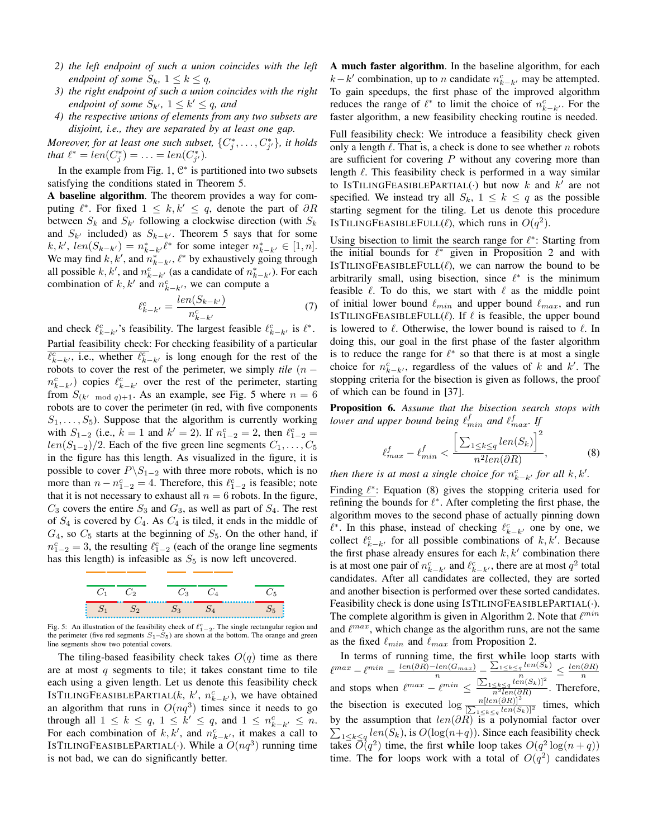- 2) the left endpoint of such a union coincides with the left endpoint of some  $S_k$ ,  $1 \leq k \leq q$ ,
- 3) the right endpoint of such a union coincides with the right endpoint of some  $S_{k'}$ ,  $1 \leq k' \leq q$ , and
- 4) the respective unions of elements from any two subsets are disjoint, i.e., they are separated by at least one gap.

Moreover, for at least one such subset,  $\{C^*_i,\ldots,C^*_{i'}\}$ , it holds that  $\ell^* = len(C_j^*) = \ldots = len(C_{j'}^*)$ .

In the example from Fig. 1,  $\mathbb{C}^*$  is partitioned into two subsets satisfying the conditions stated in Theorem 5.

A baseline algorithm. The theorem provides a way for computing  $\ell^*$ . For fixed  $1 \leq k, k' \leq q$ , denote the part of  $\partial R$ between  $S_k$  and  $S_{k'}$  following a clockwise direction (with  $S_k$ and  $S_{k'}$  included) as  $S_{k-k'}$ . Theorem 5 says that for some  $k, k', len(S_{k-k'}) = n_{k-k'}^* \ell^*$  for some integer  $n_{k-k'}^* \in [1, n]$ . We may find k, k', and  $n_{k-k}^*$ ,  $\ell^*$  by exhaustively going through all possible k, k', and  $n_{k-k}^c$  (as a candidate of  $n_{k-k}^*$ ). For each combination of k, k' and  $n_{k-k}^c$ , we can compute a

$$
\ell_{k-k'}^c = \frac{len(S_{k-k'})}{n_{k-k'}^c} \tag{7}
$$

and check  $\ell_{k-k}^c$ , s feasibility. The largest feasible  $\ell_{k-k}^c$  is  $\ell^*$ .

Partial feasibility check: For checking feasibility of a particular  $\ell_{k-k'}^c$ , i.e., whether  $\ell_{k-k'}^c$  is long enough for the rest of the robots to cover the rest of the perimeter, we simply tile  $(n$  $n_{k-k'}^c$ ) copies  $\ell_{k-k'}^c$  over the rest of the perimeter, starting from  $S_{(k' \mod q)+1}$ . As an example, see Fig. 5 where  $n = 6$ robots are to cover the perimeter (in red, with five components  $S_1, \ldots, S_5$ ). Suppose that the algorithm is currently working with  $S_{1-2}$  (i.e.,  $k = 1$  and  $k' = 2$ ). If  $n_{1-2}^c = 2$ , then  $\ell_{1-2}^c =$  $len(S_{1-2})/2$ . Each of the five green line segments  $C_1, \ldots, C_5$ in the figure has this length. As visualized in the figure, it is possible to cover  $P \backslash S_{1-2}$  with three more robots, which is no more than  $n - n_{1-2}^c = 4$ . Therefore, this  $\ell_{1-2}^c$  is feasible; note that it is not necessary to exhaust all  $n = 6$  robots. In the figure,  $C_3$  covers the entire  $S_3$  and  $G_3$ , as well as part of  $S_4$ . The rest of  $S_4$  is covered by  $C_4$ . As  $C_4$  is tiled, it ends in the middle of  $G_4$ , so  $C_5$  starts at the beginning of  $S_5$ . On the other hand, if  $n_{1-2}^c = 3$ , the resulting  $\ell_{1-2}^c$  (each of the orange line segments has this length) is infeasible as  $S_5$  is now left uncovered.



Fig. 5: An illustration of the feasibility check of  $\ell_{1-2}^c$ . The single rectangular region and the perimeter (five red segments  $S_1 - S_5$ ) are shown at the bottom. The orange and green line segments show two potential covers.

The tiling-based feasibility check takes  $O(q)$  time as there are at most  $q$  segments to tile; it takes constant time to tile each using a given length. Let us denote this feasibility check ISTILINGFEASIBLEPARTIAL(k, k',  $n_{k-k}^c$ ), we have obtained an algorithm that runs in  $O(nq^3)$  times since it needs to go through all  $1 \leq k \leq q$ ,  $1 \leq k' \leq q$ , and  $1 \leq n_{k-k'}^c \leq n$ . For each combination of  $k, k'$ , and  $n_{k-k'}^c$ , it makes a call to ISTILINGFEASIBLEPARTIAL(.). While a  $O(nq^3)$  running time is not bad, we can do significantly better.

A much faster algorithm. In the baseline algorithm, for each  $k-k'$  combination, up to *n* candidate  $n_{k-k'}^c$  may be attempted. To gain speedups, the first phase of the improved algorithm reduces the range of  $\ell^*$  to limit the choice of  $n_{k-k'}^c$ . For the faster algorithm, a new feasibility checking routine is needed.

Full feasibility check: We introduce a feasibility check given only a length  $\ell$ . That is, a check is done to see whether n robots are sufficient for covering  $P$  without any covering more than length  $\ell$ . This feasibility check is performed in a way similar to ISTILINGFEASIBLEPARTIAL(.) but now k and k' are not specified. We instead try all  $S_k$ ,  $1 \leq k \leq q$  as the possible starting segment for the tiling. Let us denote this procedure ISTILINGFEASIBLEFULL( $\ell$ ), which runs in  $O(q^2)$ .

Using bisection to limit the search range for  $\ell^*$ : Starting from the initial bounds for  $\ell^*$  given in Proposition 2 and with ISTILINGFEASIBLEFULL $(\ell)$ , we can narrow the bound to be arbitrarily small, using bisection, since  $\ell^*$  is the minimum feasible  $\ell$ . To do this, we start with  $\ell$  as the middle point of initial lower bound  $\ell_{min}$  and upper bound  $\ell_{max}$ , and run ISTILINGFEASIBLEFULL $(\ell)$ . If  $\ell$  is feasible, the upper bound is lowered to  $\ell$ . Otherwise, the lower bound is raised to  $\ell$ . In doing this, our goal in the first phase of the faster algorithm is to reduce the range for  $\ell^*$  so that there is at most a single choice for  $n_{k-k}^c$ , regardless of the values of k and k'. The stopping criteria for the bisection is given as follows, the proof of which can be found in [37].

Proposition 6. Assume that the bisection search stops with lower and upper bound being  $\ell_{min}^J$  and  $\ell_{max}^f$ . If

$$
\ell_{max}^f - \ell_{min}^f < \frac{\left[\sum_{1 \le k \le q} len(S_k)\right]^2}{n^2 len(\partial R)},\tag{8}
$$

then there is at most a single choice for  $n_{k-k}^c$  for all  $k, k'$ .

Finding  $\ell^*$ : Equation (8) gives the stopping criteria used for refining the bounds for  $\ell^*$ . After completing the first phase, the algorithm moves to the second phase of actually pinning down  $\ell^*$ . In this phase, instead of checking  $\ell_{k-k'}^c$  one by one, we collect  $\ell_{k-k'}^c$  for all possible combinations of  $k, k'$ . Because the first phase already ensures for each  $k, k'$  combination there is at most one pair of  $n_{k-k'}^c$  and  $\ell_{k-k'}^c$ , there are at most  $q^2$  total candidates. After all candidates are collected, they are sorted and another bisection is performed over these sorted candidates. Feasibility check is done using ISTILINGFEASIBLEPARTIAL(.). The complete algorithm is given in Algorithm 2. Note that  $\ell^{min}$ and  $\ell^{max}$ , which change as the algorithm runs, are not the same as the fixed  $\ell_{min}$  and  $\ell_{max}$  from Proposition 2.

In terms of running time, the first while loop starts with  $\ell^{max} - \ell^{min} = \frac{len(\partial R) - len(G_{max})}{len(\partial R) - len(G_{max})} - \frac{\sum_{1 \le k \le q} len(S_k)}{\sum_{k \le q} len(S_k)} \le \frac{len(\partial R)}{len(\partial R)}$  $\ell^{max} - \ell^{min} = \frac{\ell^{min}(D)}{n} \cdot \frac{\ell^{min}(D)}{n} \leq \frac{\sum_{1 \leq k \leq q} \frac{n}{\ell^{min}(S_k)|^2}}{\frac{n^2}{n^2 \ell^{min}(S_k)|^2}}.$  Therefore,<br>the bisection is executed  $\log \frac{n[\ell^{min}(S_R)]^2}{\sum_{1 \leq k \leq q} \frac{\ell^{min}(S_k)|^2}{\ell^{min}(S_k)|^2}}$  times, which by the assumption that  $len(\partial R)$  is a polynomial factor over  $\sum_{1 \leq k \leq q} len(S_k)$ , is  $O(log(n+q))$ . Since each feasibility check takes  $\overline{O}(q^2)$  time, the first while loop takes  $O(q^2 \log(n+q))$ time. The for loops work with a total of  $O(q^2)$  candidates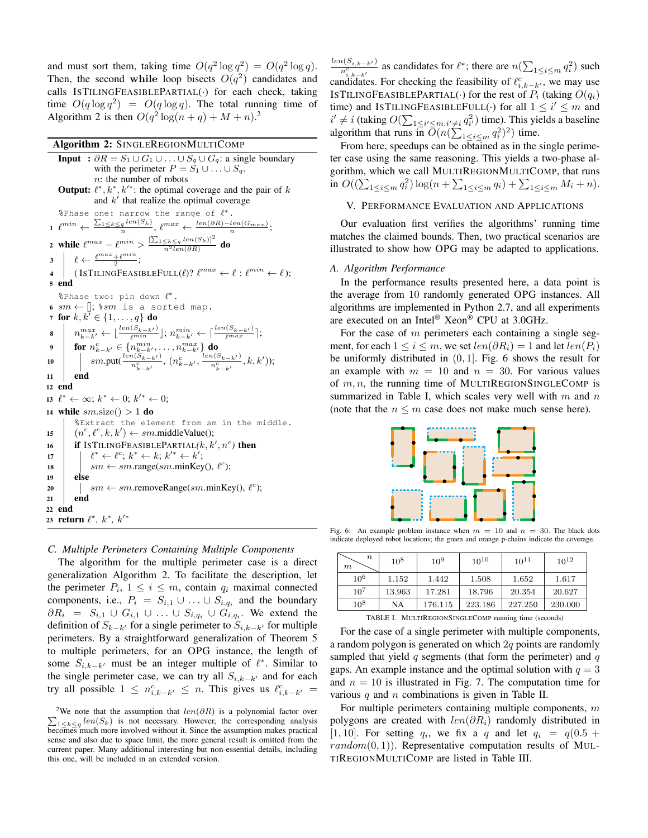and must sort them, taking time  $O(q^2 \log q^2) = O(q^2 \log q)$ . Then, the second while loop bisects  $O(q^2)$  candidates and calls ISTILINGFEASIBLEPARTIAL(.) for each check, taking time  $O(q \log q^2) = O(q \log q)$ . The total running time of Algorithm 2 is then  $O(q^2 \log(n+q) + M + n)^2$ .

#### Algorithm 2: SINGLEREGIONMULTICOMP

```
Input : \partial R = S_1 \cup G_1 \cup ... \cup S_a \cup G_a: a single boundary
                     with the perimeter P = S_1 \cup ... \cup S_q.
                     n: the number of robots
     Output: \ell^*, k^*, k'^*: the optimal coverage and the pair of k
                     and k' that realize the optimal coverage
     %Phase one: narrow the range of \ell^*.
 1 \ \ell^{min} \leftarrow \frac{\sum_{1 \leq k \leq q} len(S_k)}{n}, \ \ell^{max} \leftarrow \frac{len(\partial R) - len(G_{max})}{n};2 while \ell^{max} - \ell^{min} > \frac{[\sum_{1 \leq k \leq q} len(S_k)]^2}{n^2 len(\partial R)} do
            \ell \leftarrow \frac{\ell^{max} + \ell^{min}}{2};\overline{\mathbf{3}}\text{(ISTILINGFEASIBLEFULL}(\ell) \text{? } \ell^{max} \leftarrow \ell \text{ : } \ell^{min} \leftarrow \ell \text{);}\overline{\mathbf{4}}5 end
      %Phase two: pin down \ell^*.
 6 sm \leftarrow ||; \sm is a sorted map.
 7 for k, k' \in \{1, ..., q\} do
           n_{k-k'}^{max} \leftarrow \lfloor \frac{\text{len}(S_{k-k'})}{\ell^{min}} \rfloor; n_{k-k'}^{min} \leftarrow \lceil \frac{\text{len}(S_{k-k'})}{\ell^{max}} \rceil;<br>
for n_{k-k'}^c \in \{n_{k-k'}^{min}, \ldots, n_{k-k'}^{max}\} do<br>
\mid \text{sm.putt}(\frac{\text{len}(S_{k-k'})}{n_{k-k'}^c}, (n_{k-k'}^c, \frac{\text{len}(S_{k-k'})}{n_{k-k'}^c}, k, k'));8
 \ddot{\mathbf{Q}}10
\overline{11}end
12 end
13 \ell^* \leftarrow \infty; k^* \leftarrow 0; k'^* \leftarrow 0;
    while sm.size() > 1 do
14%Extract the element from sm in the middle.
             (n^c, \ell^c, k, k') \leftarrow sm.\text{middleValue}(\mathcal{C})15
            if ISTILINGFEASIBLEPARTIAL(k, k', n^c) then
16\ell^* \leftarrow \ell^c; k^* \leftarrow k; k'^* \leftarrow k';
17
                    sm \leftarrow sm.\text{range}(sm.\text{minKey}(), \ell^c);18
19else
                    sm \leftarrow sm.removeRange(sm.minKey(), \ell^c);
\overline{20}21end
22 end
23 return \ell^*, k^*, k'^*
```
#### C. Multiple Perimeters Containing Multiple Components

The algorithm for the multiple perimeter case is a direct generalization Algorithm 2. To facilitate the description, let the perimeter  $P_i$ ,  $1 \leq i \leq m$ , contain  $q_i$  maximal connected components, i.e.,  $P_i = S_{i,1} \cup ... \cup S_{i,q_i}$  and the boundary  $\partial R_i = S_{i,1} \cup G_{i,1} \cup \ldots \cup S_{i,q_i} \cup G_{i,q_i}$ . We extend the definition of  $S_{k-k'}$  for a single perimeter to  $S_{i,k-k'}$  for multiple perimeters. By a straightforward generalization of Theorem 5 to multiple perimeters, for an OPG instance, the length of some  $S_{i,k-k'}$  must be an integer multiple of  $\ell^*$ . Similar to the single perimeter case, we can try all  $S_{i,k-k'}$  and for each try all possible  $1 \leq n_{i,k-k'}^c \leq n$ . This gives us  $\ell_{i,k-k'}^c =$ 

 $\frac{\ln(S_{i,k-k'})}{n_{i,k-k'}^c}$  as candidates for  $\ell^*$ ; there are  $n(\sum_{1 \leq i \leq m} q_i^2)$  such candidates. For checking the feasibility of  $\ell_{i,k-k'}^c$ , we may use ISTILINGFEASIBLEPARTIAL(.) for the rest of  $P_i$  (taking  $O(q_i)$ ) time) and ISTILINGFEASIBLEFULL(.) for all  $1 \leq i' \leq m$  and  $i' \neq i$  (taking  $O(\sum_{1 \le i' \le m, i' \neq i} q_i^2)$  time). This yields a baseline algorithm that runs in  $\overline{O}(n(\sum_{1 \le i \le m} q_i^2)^2)$  time.

From here, speedups can be obtained as in the single perimeter case using the same reasoning. This yields a two-phase algorithm, which we call MULTIREGIONMULTICOMP, that runs in  $O((\sum_{1 \le i \le m} q_i^2) \log(n + \sum_{1 \le i \le m} q_i) + \sum_{1 \le i \le m} M_i + n).$ 

#### V. PERFORMANCE EVALUATION AND APPLICATIONS

Our evaluation first verifies the algorithms' running time matches the claimed bounds. Then, two practical scenarios are illustrated to show how OPG may be adapted to applications.

#### A. Algorithm Performance

In the performance results presented here, a data point is the average from 10 randomly generated OPG instances. All algorithms are implemented in Python 2.7, and all experiments are executed on an Intel® Xeon® CPU at 3.0GHz.

For the case of  $m$  perimeters each containing a single segment, for each  $1 \le i \le m$ , we set  $len(\partial R_i) = 1$  and let  $len(P_i)$ be uniformly distributed in  $(0, 1]$ . Fig. 6 shows the result for an example with  $m = 10$  and  $n = 30$ . For various values of  $m, n$ , the running time of MULTIREGIONSINGLECOMP is summarized in Table I, which scales very well with  $m$  and  $n$ (note that the  $n \leq m$  case does not make much sense here).



Fig. 6: An example problem instance when  $m = 10$  and  $n = 30$ . The black dots indicate deployed robot locations; the green and orange p-chains indicate the coverage.

| $\, n$<br>$\boldsymbol{m}$ | $10^{8}$ | $10^{9}$ | $10^{10}$ | $10^{11}$ | $10^{12}$ |
|----------------------------|----------|----------|-----------|-----------|-----------|
| $10^6$                     | 1.152    | 1.442    | 1.508     | 1.652     | 1.617     |
| $10^7$                     | 13.963   | 17.281   | 18.796    | 20.354    | 20.627    |
| $10^{8}$                   | NA       | 176.115  | 223.186   | 227.250   | 230.000   |

TABLE I. MULTIREGIONSINGLECOMP running time (seconds)

For the case of a single perimeter with multiple components, a random polygon is generated on which  $2q$  points are randomly sampled that yield  $q$  segments (that form the perimeter) and  $q$ gaps. An example instance and the optimal solution with  $q = 3$ and  $n = 10$  is illustrated in Fig. 7. The computation time for various  $q$  and  $n$  combinations is given in Table II.

For multiple perimeters containing multiple components,  $m$ polygons are created with  $len(\partial R_i)$  randomly distributed in [1, 10]. For setting  $q_i$ , we fix a q and let  $q_i = q(0.5 +$  $random(0, 1)$ . Representative computation results of MUL-TIREGIONMULTICOMP are listed in Table III.

<sup>&</sup>lt;sup>2</sup>We note that the assumption that  $len(\partial R)$  is a polynomial factor over  $\sum_{1 \leq k \leq q} len(S_k)$  is not necessary. However, the corresponding analysis becomes much more involved without it. Since the assumption makes practical sense and also due to space limit, the more general result is omitted from the current paper. Many additional interesting but non-essential details, including this one, will be included in an extended version.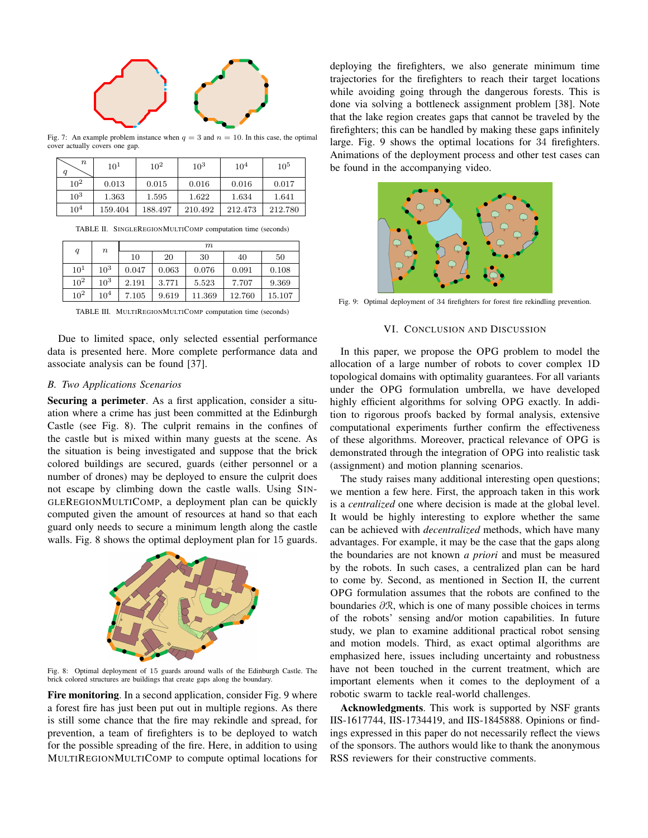

Fig. 7: An example problem instance when  $q = 3$  and  $n = 10$ . In this case, the optimal cover actually covers one gap.

| $\, n$<br>q | 10 <sup>1</sup> | $10^{2}$ | $10^3$  | $10^{4}$ | $10^5$  |
|-------------|-----------------|----------|---------|----------|---------|
| $10^{2}$    | 0.013           | 0.015    | 0.016   | 0.016    | 0.017   |
| $10^{3}$    | 1.363           | 1.595    | 1.622   | 1.634    | 1.641   |
| $10^4$      | 159.404         | 188.497  | 210.492 | 212.473  | 212.780 |

TABLE II. SINGLEREGIONMULTICOMP computation time (seconds)

| $\boldsymbol{q}$ | $\it n$         | m     |       |        |        |        |
|------------------|-----------------|-------|-------|--------|--------|--------|
|                  |                 | 10    | 20    | 30     | 40     | 50     |
| $10^1$           | $10^3$          | 0.047 | 0.063 | 0.076  | 0.091  | 0.108  |
| $10^{2}$         | $10^3$          | 2.191 | 3.771 | 5.523  | 7.707  | 9.369  |
| $10^{2}$         | 10 <sup>4</sup> | 7.105 | 9.619 | 11.369 | 12.760 | 15.107 |

TABLE III. MULTIREGIONMULTICOMP computation time (seconds)

Due to limited space, only selected essential performance data is presented here. More complete performance data and associate analysis can be found [37].

#### **B.** Two Applications Scenarios

Securing a perimeter. As a first application, consider a situation where a crime has just been committed at the Edinburgh Castle (see Fig. 8). The culprit remains in the confines of the castle but is mixed within many guests at the scene. As the situation is being investigated and suppose that the brick colored buildings are secured, guards (either personnel or a number of drones) may be deployed to ensure the culprit does not escape by climbing down the castle walls. Using SIN-GLEREGIONMULTICOMP, a deployment plan can be quickly computed given the amount of resources at hand so that each guard only needs to secure a minimum length along the castle walls. Fig. 8 shows the optimal deployment plan for 15 guards.



Fig. 8: Optimal deployment of 15 guards around walls of the Edinburgh Castle. The brick colored structures are buildings that create gaps along the boundary

**Fire monitoring.** In a second application, consider Fig. 9 where a forest fire has just been put out in multiple regions. As there is still some chance that the fire may rekindle and spread, for prevention, a team of firefighters is to be deployed to watch for the possible spreading of the fire. Here, in addition to using MULTIREGIONMULTICOMP to compute optimal locations for

deploying the firefighters, we also generate minimum time trajectories for the firefighters to reach their target locations while avoiding going through the dangerous forests. This is done via solving a bottleneck assignment problem [38]. Note that the lake region creates gaps that cannot be traveled by the firefighters; this can be handled by making these gaps infinitely large. Fig. 9 shows the optimal locations for 34 firefighters. Animations of the deployment process and other test cases can be found in the accompanying video.



Fig. 9: Optimal deployment of 34 firefighters for forest fire rekindling prevention.

#### VI. CONCLUSION AND DISCUSSION

In this paper, we propose the OPG problem to model the allocation of a large number of robots to cover complex 1D topological domains with optimality guarantees. For all variants under the OPG formulation umbrella, we have developed highly efficient algorithms for solving OPG exactly. In addition to rigorous proofs backed by formal analysis, extensive computational experiments further confirm the effectiveness of these algorithms. Moreover, practical relevance of OPG is demonstrated through the integration of OPG into realistic task (assignment) and motion planning scenarios.

The study raises many additional interesting open questions; we mention a few here. First, the approach taken in this work is a *centralized* one where decision is made at the global level. It would be highly interesting to explore whether the same can be achieved with *decentralized* methods, which have many advantages. For example, it may be the case that the gaps along the boundaries are not known *a priori* and must be measured by the robots. In such cases, a centralized plan can be hard to come by. Second, as mentioned in Section II, the current OPG formulation assumes that the robots are confined to the boundaries  $\partial \mathcal{R}$ , which is one of many possible choices in terms of the robots' sensing and/or motion capabilities. In future study, we plan to examine additional practical robot sensing and motion models. Third, as exact optimal algorithms are emphasized here, issues including uncertainty and robustness have not been touched in the current treatment, which are important elements when it comes to the deployment of a robotic swarm to tackle real-world challenges.

Acknowledgments. This work is supported by NSF grants IIS-1617744, IIS-1734419, and IIS-1845888. Opinions or findings expressed in this paper do not necessarily reflect the views of the sponsors. The authors would like to thank the anonymous RSS reviewers for their constructive comments.